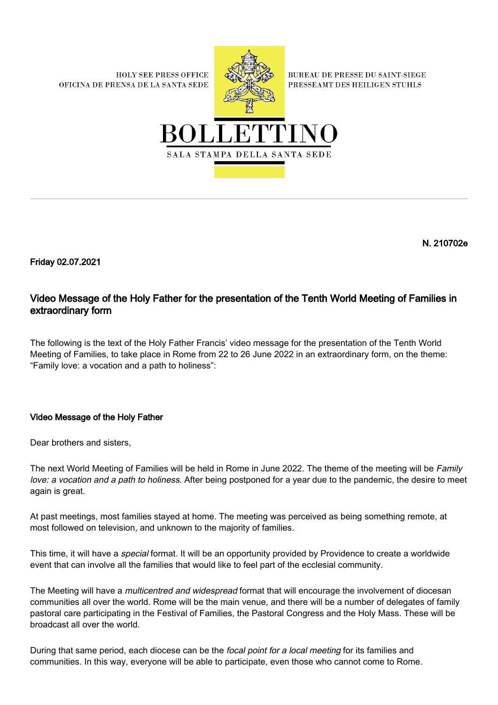**HOLY SEE PRESS OFFICE** OFICINA DE PRENSA DE LA SANTA SEDE



**BUREAU DE PRESSE DU SAINT-SIEGE** PRESSEAMT DES HEILIGEN STUHLS



N. 210702e

Friday 02.07.2021

## Video Message of the Holy Father for the presentation of the Tenth World Meeting of Families in extraordinary form

The following is the text of the Holy Father Francis' video message for the presentation of the Tenth World Meeting of Families, to take place in Rome from 22 to 26 June 2022 in an extraordinary form, on the theme: "Family love: a vocation and a path to holiness":

## Video Message of the Holy Father

Dear brothers and sisters,

The next World Meeting of Families will be held in Rome in June 2022. The theme of the meeting will be Family love: a vocation and a path to holiness. After being postponed for a year due to the pandemic, the desire to meet again is great.

At past meetings, most families stayed at home. The meeting was perceived as being something remote, at most followed on television, and unknown to the majority of families.

This time, it will have a *special* format. It will be an opportunity provided by Providence to create a worldwide event that can involve all the families that would like to feel part of the ecclesial community.

The Meeting will have a *multicentred and widespread* format that will encourage the involvement of diocesan communities all over the world. Rome will be the main venue, and there will be a number of delegates of family pastoral care participating in the Festival of Families, the Pastoral Congress and the Holy Mass. These will be broadcast all over the world.

During that same period, each diocese can be the *focal point for a local meeting* for its families and communities. In this way, everyone will be able to participate, even those who cannot come to Rome.